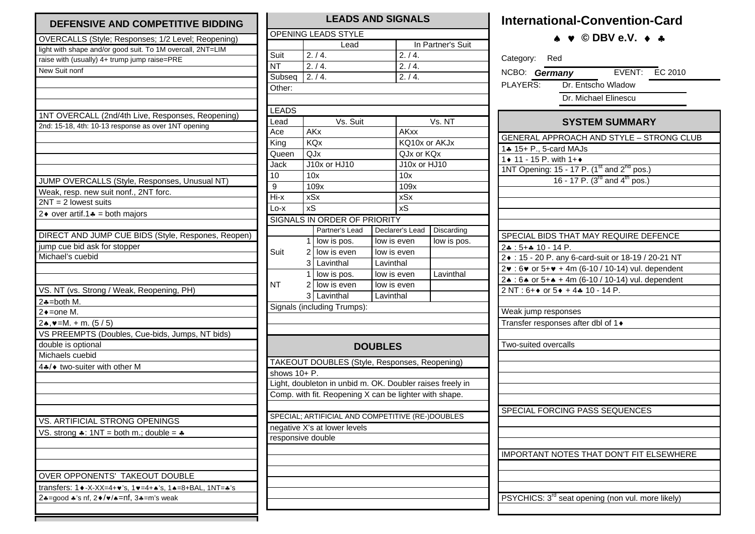| DEFENSIVE AND COMPETITIVE BIDDING                                     |
|-----------------------------------------------------------------------|
| OVERCALLS (Style; Responses; 1/2 Level; Reopening)                    |
| light with shape and/or good suit. To 1M overcall, 2NT=LIM            |
| raise with (usually) 4+ trump jump raise=PRE                          |
| New Suit nonf                                                         |
|                                                                       |
|                                                                       |
|                                                                       |
| 1NT OVERCALL (2nd/4th Live, Responses, Reopening)                     |
| 2nd: 15-18, 4th: 10-13 response as over 1NT opening                   |
|                                                                       |
|                                                                       |
|                                                                       |
|                                                                       |
| JUMP OVERCALLS (Style, Responses, Unusual NT)                         |
| Weak, resp. new suit nonf., 2NT forc.                                 |
| $2NT = 2$ lowest suits                                                |
| 2 $\bullet$ over artif.1 $\bullet$ = both majors                      |
|                                                                       |
|                                                                       |
| DIRECT AND JUMP CUE BIDS (Style, Respones, Reopen)                    |
| jump cue bid ask for stopper<br>Michael's cuebid                      |
|                                                                       |
|                                                                       |
|                                                                       |
| VS. NT (vs. Strong / Weak, Reopening, PH)                             |
| $2\clubsuit =$ both M.<br>$2 \triangle$ = one M.                      |
|                                                                       |
| $2\star, \vee = M. + m. (5/5)$                                        |
| VS PREEMPTS (Doubles, Cue-bids, Jumps, NT bids)                       |
| double is optional<br>Michaels cuebid                                 |
|                                                                       |
| 4.4/◆ two-suiter with other M                                         |
|                                                                       |
|                                                                       |
|                                                                       |
|                                                                       |
| VS. ARTIFICIAL STRONG OPENINGS                                        |
| VS. strong $\clubsuit$ : 1NT = both m.; double = $\clubsuit$          |
|                                                                       |
|                                                                       |
|                                                                       |
| OVER OPPONENTS' TAKEOUT DOUBLE                                        |
| transfers: 1 + -X-XX=4+ v's, 1 + = 4+ + 's, 1 + = 8+ BAL, 1 NT = + 's |
| $2*-good *s$ of, $2*/\sqrt{s}$ = nf, $3*-m's$ weak                    |
|                                                                       |

## **LEADS AND SIGNALS** OPENING LEADS STYLE **Lead** In Partner's Suit Suit  $\boxed{2.74}$ .  $2.74.$  $\sqrt{1}$  2. / 4.  $2. / 4.$ Subseq  $2. / 4.$  2.  $/ 4.$ Other: LEADS Lead Vs. Suit Vs. NT Ace AKx AKxx King KQx KQ10x or AKJx Queen QJx QJx or KQx Jack J10x or HJ10 J10x or HJ10 10 10x 10x 9 109x 109x  $109x$  $Hix$  xSx  $xSx$  $\overline{\text{S}}$  xS  $\overline{\text{S}}$  xS SIGNALS IN ORDER OF PRIORITY Partner's Lead | Declarer's Lead | Discarding  $1$  low is pos. low is even low is pos. Suit  $2$  low is even low is even 3 Lavinthal Lavinthal 1 low is pos. low is even Lavinthal  $NT$  2 low is even low is even 3 Lavinthal Lavinthal Signals (including Trumps): **DOUBLES** TAKEOUT DOUBLES (Style, Responses, Reopening) shows  $10+$  P. Light, doubleton in unbid m. OK. Doubler raises freely in Comp. with fit. Reopening X can be lighter with shape. SPECIAL; ARTIFICIAL AND COMPETITIVE (RE-)DOUBLES negative X's at lower levels responsive double

## **International-Convention-Card**

 **© DBV e.V.** 

| Category: Red                                                               |  |  |  |  |  |  |  |  |
|-----------------------------------------------------------------------------|--|--|--|--|--|--|--|--|
| EVENT: EC 2010<br>NCBO: Germany                                             |  |  |  |  |  |  |  |  |
| Dr. Entscho Wladow<br>PLAYERS:                                              |  |  |  |  |  |  |  |  |
| Dr. Michael Elinescu                                                        |  |  |  |  |  |  |  |  |
|                                                                             |  |  |  |  |  |  |  |  |
| <b>SYSTEM SUMMARY</b>                                                       |  |  |  |  |  |  |  |  |
| GENERAL APPROACH AND STYLE - STRONG CLUB                                    |  |  |  |  |  |  |  |  |
| 14 15+ P., 5-card MAJs                                                      |  |  |  |  |  |  |  |  |
| 1◆ 11 - 15 P. with 1+◆                                                      |  |  |  |  |  |  |  |  |
| 1NT Opening: 15 - 17 P. $(1^{st}$ and $2^{nd}$ pos.)                        |  |  |  |  |  |  |  |  |
| 16 - 17 P. $(3^{rd}$ and $4^{th}$ pos.)                                     |  |  |  |  |  |  |  |  |
|                                                                             |  |  |  |  |  |  |  |  |
|                                                                             |  |  |  |  |  |  |  |  |
|                                                                             |  |  |  |  |  |  |  |  |
|                                                                             |  |  |  |  |  |  |  |  |
| SPECIAL BIDS THAT MAY REQUIRE DEFENCE                                       |  |  |  |  |  |  |  |  |
| $2*: 5**10 - 14 P.$<br>2 • : 15 - 20 P. any 6-card-suit or 18-19 / 20-21 NT |  |  |  |  |  |  |  |  |
| 2v: 6v or 5+v + 4m (6-10 / 10-14) vul. dependent                            |  |  |  |  |  |  |  |  |
| 24 : 64 or 5+4 + 4m (6-10 / 10-14) vul. dependent                           |  |  |  |  |  |  |  |  |
| 2 NT : 6++ or 5+ + 4+ 10 - 14 P.                                            |  |  |  |  |  |  |  |  |
|                                                                             |  |  |  |  |  |  |  |  |
| Weak jump responses                                                         |  |  |  |  |  |  |  |  |
| Transfer responses after dbl of 1+                                          |  |  |  |  |  |  |  |  |
|                                                                             |  |  |  |  |  |  |  |  |
| Two-suited overcalls                                                        |  |  |  |  |  |  |  |  |
|                                                                             |  |  |  |  |  |  |  |  |
|                                                                             |  |  |  |  |  |  |  |  |
|                                                                             |  |  |  |  |  |  |  |  |
|                                                                             |  |  |  |  |  |  |  |  |
|                                                                             |  |  |  |  |  |  |  |  |
| SPECIAL FORCING PASS SEQUENCES                                              |  |  |  |  |  |  |  |  |
|                                                                             |  |  |  |  |  |  |  |  |
|                                                                             |  |  |  |  |  |  |  |  |
|                                                                             |  |  |  |  |  |  |  |  |
| <b>IMPORTANT NOTES THAT DON'T FIT ELSEWHERE</b>                             |  |  |  |  |  |  |  |  |
|                                                                             |  |  |  |  |  |  |  |  |
|                                                                             |  |  |  |  |  |  |  |  |
|                                                                             |  |  |  |  |  |  |  |  |
| PSYCHICS: 3 <sup>rd</sup> seat opening (non vul. more likely)               |  |  |  |  |  |  |  |  |
|                                                                             |  |  |  |  |  |  |  |  |